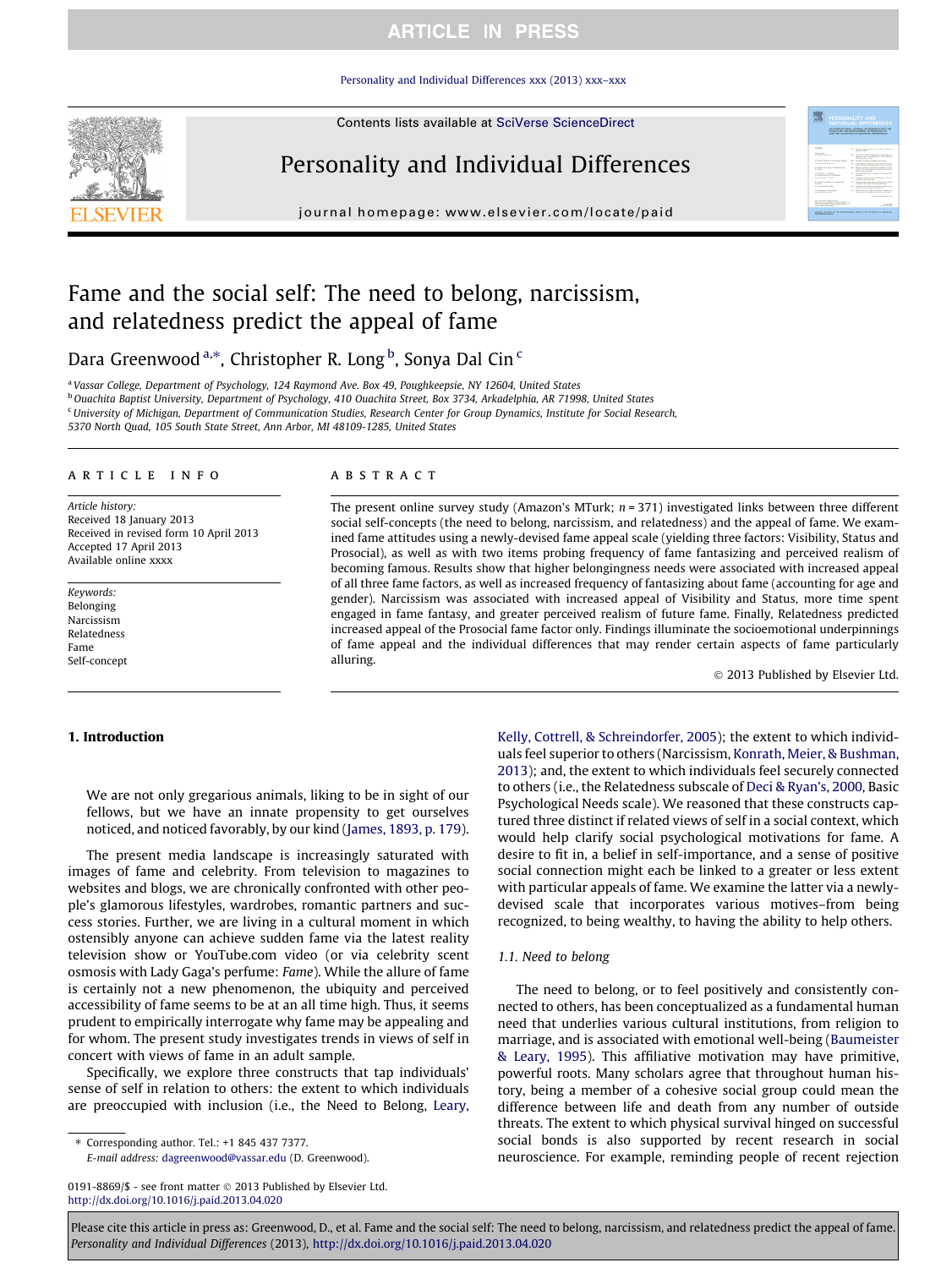## **ARTICLE IN PRESS**

[Personality and Individual Differences xxx \(2013\) xxx–xxx](http://dx.doi.org/10.1016/j.paid.2013.04.020)

Contents lists available at [SciVerse ScienceDirect](http://www.sciencedirect.com/science/journal/01918869)



# Personality and Individual Differences

journal homepage: [www.elsevier.com/locate/paid](http://www.elsevier.com/locate/paid)



# Fame and the social self: The need to belong, narcissism, and relatedness predict the appeal of fame

Dara Greenwood a,\*, Christopher R. Long <sup>b</sup>, Sonya Dal Cin <sup>c</sup>

<sup>a</sup> Vassar College, Department of Psychology, 124 Raymond Ave. Box 49, Poughkeepsie, NY 12604, United States <sup>b</sup> Ouachita Baptist University, Department of Psychology, 410 Ouachita Street, Box 3734, Arkadelphia, AR 71998, United States <sup>c</sup> University of Michigan, Department of Communication Studies, Research Center for Group Dynamics, Institute for Social Research,

5370 North Quad, 105 South State Street, Ann Arbor, MI 48109-1285, United States

#### article info

Article history: Received 18 January 2013 Received in revised form 10 April 2013 Accepted 17 April 2013 Available online xxxx

Keywords: Belonging Narcissism Relatedness Fame Self-concept

1. Introduction

### **ABSTRACT**

The present online survey study (Amazon's MTurk;  $n = 371$ ) investigated links between three different social self-concepts (the need to belong, narcissism, and relatedness) and the appeal of fame. We examined fame attitudes using a newly-devised fame appeal scale (yielding three factors: Visibility, Status and Prosocial), as well as with two items probing frequency of fame fantasizing and perceived realism of becoming famous. Results show that higher belongingness needs were associated with increased appeal of all three fame factors, as well as increased frequency of fantasizing about fame (accounting for age and gender). Narcissism was associated with increased appeal of Visibility and Status, more time spent engaged in fame fantasy, and greater perceived realism of future fame. Finally, Relatedness predicted increased appeal of the Prosocial fame factor only. Findings illuminate the socioemotional underpinnings of fame appeal and the individual differences that may render certain aspects of fame particularly alluring.

 $©$  2013 Published by Elsevier Ltd.

We are not only gregarious animals, liking to be in sight of our fellows, but we have an innate propensity to get ourselves noticed, and noticed favorably, by our kind [\(James, 1893, p. 179\)](#page-4-0).

The present media landscape is increasingly saturated with images of fame and celebrity. From television to magazines to websites and blogs, we are chronically confronted with other people's glamorous lifestyles, wardrobes, romantic partners and success stories. Further, we are living in a cultural moment in which ostensibly anyone can achieve sudden fame via the latest reality television show or YouTube.com video (or via celebrity scent osmosis with Lady Gaga's perfume: Fame). While the allure of fame is certainly not a new phenomenon, the ubiquity and perceived accessibility of fame seems to be at an all time high. Thus, it seems prudent to empirically interrogate why fame may be appealing and for whom. The present study investigates trends in views of self in concert with views of fame in an adult sample.

Specifically, we explore three constructs that tap individuals' sense of self in relation to others: the extent to which individuals are preoccupied with inclusion (i.e., the Need to Belong, [Leary,](#page-4-0)

⇑ Corresponding author. Tel.: +1 845 437 7377.

0191-8869/\$ - see front matter @ 2013 Published by Elsevier Ltd. <http://dx.doi.org/10.1016/j.paid.2013.04.020>

[Kelly, Cottrell, & Schreindorfer, 2005\)](#page-4-0); the extent to which individuals feel superior to others (Narcissism, [Konrath, Meier, & Bushman,](#page-4-0) [2013](#page-4-0)); and, the extent to which individuals feel securely connected to others (i.e., the Relatedness subscale of [Deci & Ryan's, 2000,](#page-4-0) Basic Psychological Needs scale). We reasoned that these constructs captured three distinct if related views of self in a social context, which would help clarify social psychological motivations for fame. A desire to fit in, a belief in self-importance, and a sense of positive social connection might each be linked to a greater or less extent with particular appeals of fame. We examine the latter via a newlydevised scale that incorporates various motives–from being recognized, to being wealthy, to having the ability to help others.

### 1.1. Need to belong

The need to belong, or to feel positively and consistently connected to others, has been conceptualized as a fundamental human need that underlies various cultural institutions, from religion to marriage, and is associated with emotional well-being ([Baumeister](#page-4-0) [& Leary, 1995](#page-4-0)). This affiliative motivation may have primitive, powerful roots. Many scholars agree that throughout human history, being a member of a cohesive social group could mean the difference between life and death from any number of outside threats. The extent to which physical survival hinged on successful social bonds is also supported by recent research in social neuroscience. For example, reminding people of recent rejection

E-mail address: [dagreenwood@vassar.edu](mailto:dagreenwood@vassar.edu) (D. Greenwood).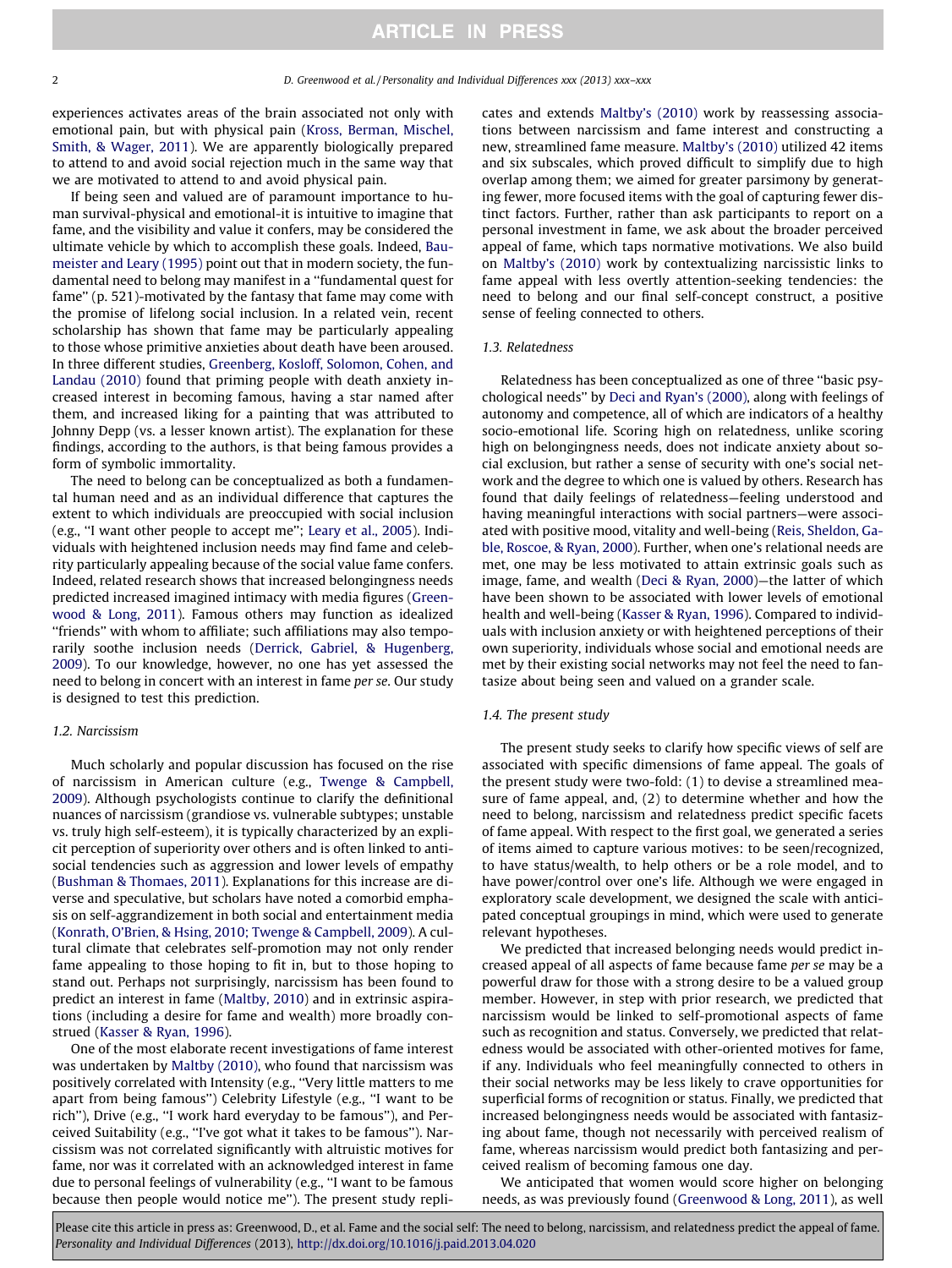experiences activates areas of the brain associated not only with emotional pain, but with physical pain ([Kross, Berman, Mischel,](#page-4-0) [Smith, & Wager, 2011\)](#page-4-0). We are apparently biologically prepared to attend to and avoid social rejection much in the same way that we are motivated to attend to and avoid physical pain.

If being seen and valued are of paramount importance to human survival-physical and emotional-it is intuitive to imagine that fame, and the visibility and value it confers, may be considered the ultimate vehicle by which to accomplish these goals. Indeed, [Bau](#page-4-0)[meister and Leary \(1995\)](#page-4-0) point out that in modern society, the fundamental need to belong may manifest in a ''fundamental quest for fame'' (p. 521)-motivated by the fantasy that fame may come with the promise of lifelong social inclusion. In a related vein, recent scholarship has shown that fame may be particularly appealing to those whose primitive anxieties about death have been aroused. In three different studies, [Greenberg, Kosloff, Solomon, Cohen, and](#page-4-0) [Landau \(2010\)](#page-4-0) found that priming people with death anxiety increased interest in becoming famous, having a star named after them, and increased liking for a painting that was attributed to Johnny Depp (vs. a lesser known artist). The explanation for these findings, according to the authors, is that being famous provides a form of symbolic immortality.

The need to belong can be conceptualized as both a fundamental human need and as an individual difference that captures the extent to which individuals are preoccupied with social inclusion (e.g., ''I want other people to accept me''; [Leary et al., 2005](#page-4-0)). Individuals with heightened inclusion needs may find fame and celebrity particularly appealing because of the social value fame confers. Indeed, related research shows that increased belongingness needs predicted increased imagined intimacy with media figures ([Green](#page-4-0)[wood & Long, 2011\)](#page-4-0). Famous others may function as idealized "friends" with whom to affiliate; such affiliations may also temporarily soothe inclusion needs ([Derrick, Gabriel, & Hugenberg,](#page-4-0) [2009\)](#page-4-0). To our knowledge, however, no one has yet assessed the need to belong in concert with an interest in fame per se. Our study is designed to test this prediction.

#### 1.2. Narcissism

Much scholarly and popular discussion has focused on the rise of narcissism in American culture (e.g., [Twenge & Campbell,](#page-5-0) [2009\)](#page-5-0). Although psychologists continue to clarify the definitional nuances of narcissism (grandiose vs. vulnerable subtypes; unstable vs. truly high self-esteem), it is typically characterized by an explicit perception of superiority over others and is often linked to antisocial tendencies such as aggression and lower levels of empathy ([Bushman & Thomaes, 2011](#page-4-0)). Explanations for this increase are diverse and speculative, but scholars have noted a comorbid emphasis on self-aggrandizement in both social and entertainment media ([Konrath, O'Brien, & Hsing, 2010; Twenge & Campbell, 2009](#page-4-0)). A cultural climate that celebrates self-promotion may not only render fame appealing to those hoping to fit in, but to those hoping to stand out. Perhaps not surprisingly, narcissism has been found to predict an interest in fame [\(Maltby, 2010](#page-4-0)) and in extrinsic aspirations (including a desire for fame and wealth) more broadly construed [\(Kasser & Ryan, 1996](#page-4-0)).

One of the most elaborate recent investigations of fame interest was undertaken by [Maltby \(2010\)](#page-4-0), who found that narcissism was positively correlated with Intensity (e.g., ''Very little matters to me apart from being famous'') Celebrity Lifestyle (e.g., ''I want to be rich''), Drive (e.g., ''I work hard everyday to be famous''), and Perceived Suitability (e.g., ''I've got what it takes to be famous''). Narcissism was not correlated significantly with altruistic motives for fame, nor was it correlated with an acknowledged interest in fame due to personal feelings of vulnerability (e.g., ''I want to be famous because then people would notice me''). The present study replicates and extends [Maltby's \(2010\)](#page-4-0) work by reassessing associations between narcissism and fame interest and constructing a new, streamlined fame measure. [Maltby's \(2010\)](#page-4-0) utilized 42 items and six subscales, which proved difficult to simplify due to high overlap among them; we aimed for greater parsimony by generating fewer, more focused items with the goal of capturing fewer distinct factors. Further, rather than ask participants to report on a personal investment in fame, we ask about the broader perceived appeal of fame, which taps normative motivations. We also build on [Maltby's \(2010\)](#page-4-0) work by contextualizing narcissistic links to fame appeal with less overtly attention-seeking tendencies: the need to belong and our final self-concept construct, a positive sense of feeling connected to others.

#### 1.3. Relatedness

Relatedness has been conceptualized as one of three ''basic psychological needs'' by [Deci and Ryan's \(2000\)](#page-4-0), along with feelings of autonomy and competence, all of which are indicators of a healthy socio-emotional life. Scoring high on relatedness, unlike scoring high on belongingness needs, does not indicate anxiety about social exclusion, but rather a sense of security with one's social network and the degree to which one is valued by others. Research has found that daily feelings of relatedness—feeling understood and having meaningful interactions with social partners—were associated with positive mood, vitality and well-being [\(Reis, Sheldon, Ga](#page-5-0)[ble, Roscoe, & Ryan, 2000\)](#page-5-0). Further, when one's relational needs are met, one may be less motivated to attain extrinsic goals such as image, fame, and wealth [\(Deci & Ryan, 2000](#page-4-0))—the latter of which have been shown to be associated with lower levels of emotional health and well-being [\(Kasser & Ryan, 1996](#page-4-0)). Compared to individuals with inclusion anxiety or with heightened perceptions of their own superiority, individuals whose social and emotional needs are met by their existing social networks may not feel the need to fantasize about being seen and valued on a grander scale.

#### 1.4. The present study

The present study seeks to clarify how specific views of self are associated with specific dimensions of fame appeal. The goals of the present study were two-fold: (1) to devise a streamlined measure of fame appeal, and, (2) to determine whether and how the need to belong, narcissism and relatedness predict specific facets of fame appeal. With respect to the first goal, we generated a series of items aimed to capture various motives: to be seen/recognized, to have status/wealth, to help others or be a role model, and to have power/control over one's life. Although we were engaged in exploratory scale development, we designed the scale with anticipated conceptual groupings in mind, which were used to generate relevant hypotheses.

We predicted that increased belonging needs would predict increased appeal of all aspects of fame because fame per se may be a powerful draw for those with a strong desire to be a valued group member. However, in step with prior research, we predicted that narcissism would be linked to self-promotional aspects of fame such as recognition and status. Conversely, we predicted that relatedness would be associated with other-oriented motives for fame, if any. Individuals who feel meaningfully connected to others in their social networks may be less likely to crave opportunities for superficial forms of recognition or status. Finally, we predicted that increased belongingness needs would be associated with fantasizing about fame, though not necessarily with perceived realism of fame, whereas narcissism would predict both fantasizing and perceived realism of becoming famous one day.

We anticipated that women would score higher on belonging needs, as was previously found [\(Greenwood & Long, 2011](#page-4-0)), as well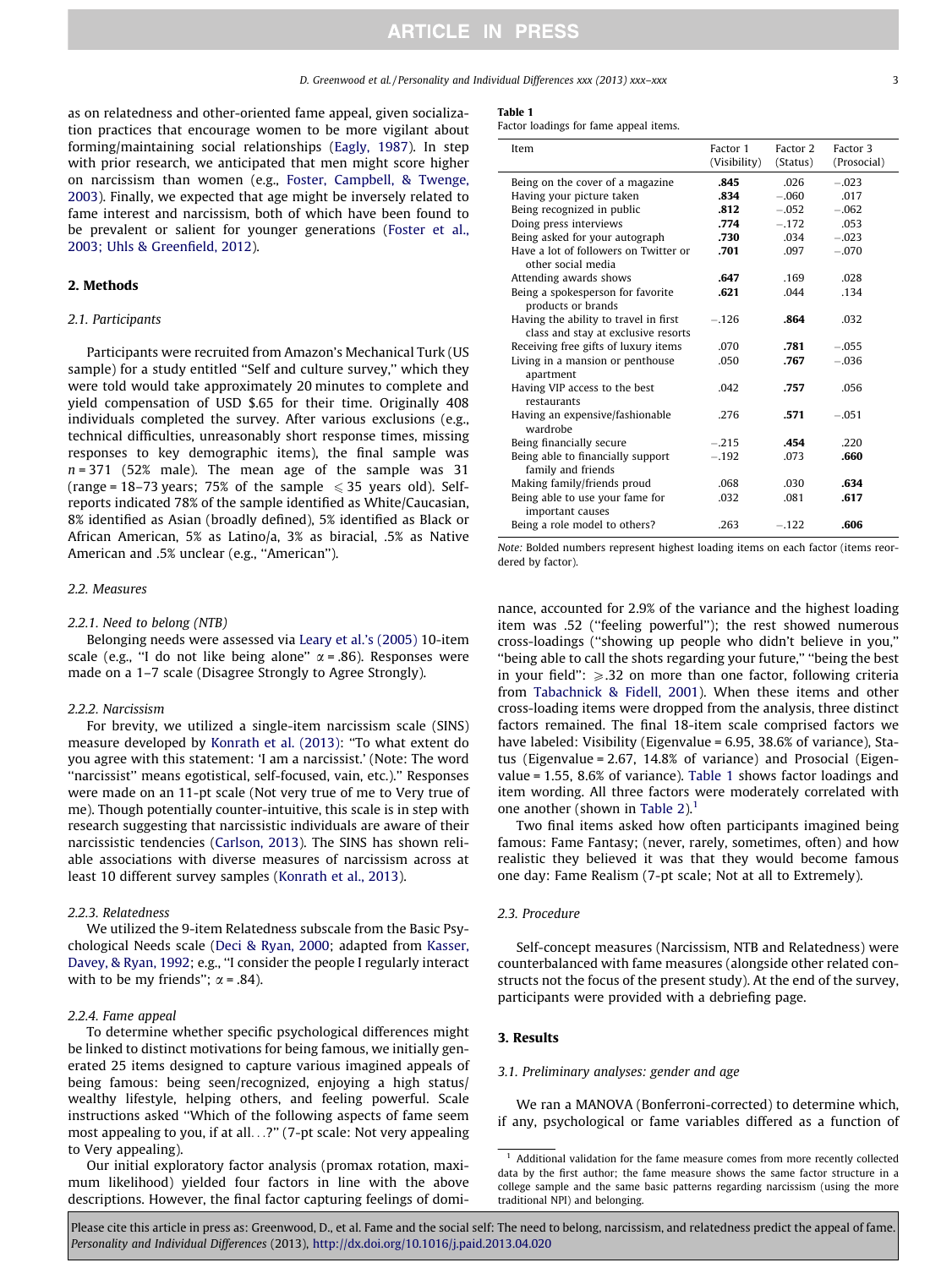D. Greenwood et al. / Personality and Individual Differences xxx (2013) xxx–xxx 33

as on relatedness and other-oriented fame appeal, given socialization practices that encourage women to be more vigilant about forming/maintaining social relationships [\(Eagly, 1987](#page-4-0)). In step with prior research, we anticipated that men might score higher on narcissism than women (e.g., [Foster, Campbell, & Twenge,](#page-4-0) [2003](#page-4-0)). Finally, we expected that age might be inversely related to fame interest and narcissism, both of which have been found to be prevalent or salient for younger generations ([Foster et al.,](#page-4-0) [2003; Uhls & Greenfield, 2012\)](#page-4-0).

#### 2. Methods

### 2.1. Participants

Participants were recruited from Amazon's Mechanical Turk (US sample) for a study entitled "Self and culture survey," which they were told would take approximately 20 minutes to complete and yield compensation of USD \$.65 for their time. Originally 408 individuals completed the survey. After various exclusions (e.g., technical difficulties, unreasonably short response times, missing responses to key demographic items), the final sample was  $n = 371$  (52% male). The mean age of the sample was 31 (range = 18–73 years; 75% of the sample  $\leq$  35 years old). Selfreports indicated 78% of the sample identified as White/Caucasian, 8% identified as Asian (broadly defined), 5% identified as Black or African American, 5% as Latino/a, 3% as biracial, .5% as Native American and .5% unclear (e.g., ''American'').

#### 2.2. Measures

#### 2.2.1. Need to belong (NTB)

Belonging needs were assessed via [Leary et al.'s \(2005\)](#page-4-0) 10-item scale (e.g., "I do not like being alone"  $\alpha$  = .86). Responses were made on a 1–7 scale (Disagree Strongly to Agree Strongly).

#### 2.2.2. Narcissism

For brevity, we utilized a single-item narcissism scale (SINS) measure developed by [Konrath et al. \(2013\):](#page-4-0) ''To what extent do you agree with this statement: 'I am a narcissist.' (Note: The word ''narcissist'' means egotistical, self-focused, vain, etc.).'' Responses were made on an 11-pt scale (Not very true of me to Very true of me). Though potentially counter-intuitive, this scale is in step with research suggesting that narcissistic individuals are aware of their narcissistic tendencies ([Carlson, 2013](#page-4-0)). The SINS has shown reliable associations with diverse measures of narcissism across at least 10 different survey samples [\(Konrath et al., 2013\)](#page-4-0).

#### 2.2.3. Relatedness

We utilized the 9-item Relatedness subscale from the Basic Psychological Needs scale ([Deci & Ryan, 2000](#page-4-0); adapted from [Kasser,](#page-4-0) [Davey, & Ryan, 1992;](#page-4-0) e.g., ''I consider the people I regularly interact with to be my friends";  $\alpha$  = .84).

#### 2.2.4. Fame appeal

To determine whether specific psychological differences might be linked to distinct motivations for being famous, we initially generated 25 items designed to capture various imagined appeals of being famous: being seen/recognized, enjoying a high status/ wealthy lifestyle, helping others, and feeling powerful. Scale instructions asked ''Which of the following aspects of fame seem most appealing to you, if at all...?'' (7-pt scale: Not very appealing to Very appealing).

Our initial exploratory factor analysis (promax rotation, maximum likelihood) yielded four factors in line with the above descriptions. However, the final factor capturing feelings of domi-

#### Table 1

Factor loadings for fame appeal items.

| Item                                                                         | Factor 1<br>(Visibility) | Factor 2<br>(Status) | Factor 3<br>(Prosocial) |
|------------------------------------------------------------------------------|--------------------------|----------------------|-------------------------|
| Being on the cover of a magazine                                             | .845                     | .026                 | $-.023$                 |
| Having your picture taken                                                    | .834                     | $-.060$              | .017                    |
| Being recognized in public                                                   | .812                     | $-.052$              | $-.062$                 |
| Doing press interviews                                                       | .774                     | $-.172$              | .053                    |
| Being asked for your autograph                                               | .730                     | .034                 | $-.023$                 |
| Have a lot of followers on Twitter or<br>other social media                  | .701                     | .097                 | $-.070$                 |
| Attending awards shows                                                       | .647                     | .169                 | .028                    |
| Being a spokesperson for favorite<br>products or brands                      | .621                     | .044                 | .134                    |
| Having the ability to travel in first<br>class and stay at exclusive resorts | $-.126$                  | .864                 | .032                    |
| Receiving free gifts of luxury items                                         | .070                     | .781                 | $-.055$                 |
| Living in a mansion or penthouse<br>apartment                                | .050                     | .767                 | $-.036$                 |
| Having VIP access to the best<br>restaurants                                 | .042                     | .757                 | .056                    |
| Having an expensive/fashionable<br>wardrobe                                  | .276                     | .571                 | $-.051$                 |
| Being financially secure                                                     | $-.215$                  | .454                 | .220                    |
| Being able to financially support<br>family and friends                      | $-.192$                  | .073                 | .660                    |
| Making family/friends proud                                                  | .068                     | .030                 | .634                    |
| Being able to use your fame for<br>important causes                          | .032                     | .081                 | .617                    |
| Being a role model to others?                                                | .263                     | $-.122$              | .606                    |

Note: Bolded numbers represent highest loading items on each factor (items reordered by factor).

nance, accounted for 2.9% of the variance and the highest loading item was .52 (''feeling powerful''); the rest showed numerous cross-loadings (''showing up people who didn't believe in you,'' ''being able to call the shots regarding your future,'' ''being the best in your field":  $\geq$ .32 on more than one factor, following criteria from [Tabachnick & Fidell, 2001](#page-5-0)). When these items and other cross-loading items were dropped from the analysis, three distinct factors remained. The final 18-item scale comprised factors we have labeled: Visibility (Eigenvalue = 6.95, 38.6% of variance), Status (Eigenvalue = 2.67, 14.8% of variance) and Prosocial (Eigenvalue = 1.55, 8.6% of variance). Table 1 shows factor loadings and item wording. All three factors were moderately correlated with one another (shown in [Table 2\)](#page-3-0).<sup>1</sup>

Two final items asked how often participants imagined being famous: Fame Fantasy; (never, rarely, sometimes, often) and how realistic they believed it was that they would become famous one day: Fame Realism (7-pt scale; Not at all to Extremely).

#### 2.3. Procedure

Self-concept measures (Narcissism, NTB and Relatedness) were counterbalanced with fame measures (alongside other related constructs not the focus of the present study). At the end of the survey, participants were provided with a debriefing page.

#### 3. Results

#### 3.1. Preliminary analyses: gender and age

We ran a MANOVA (Bonferroni-corrected) to determine which, if any, psychological or fame variables differed as a function of

 $1$  Additional validation for the fame measure comes from more recently collected data by the first author; the fame measure shows the same factor structure in a college sample and the same basic patterns regarding narcissism (using the more traditional NPI) and belonging.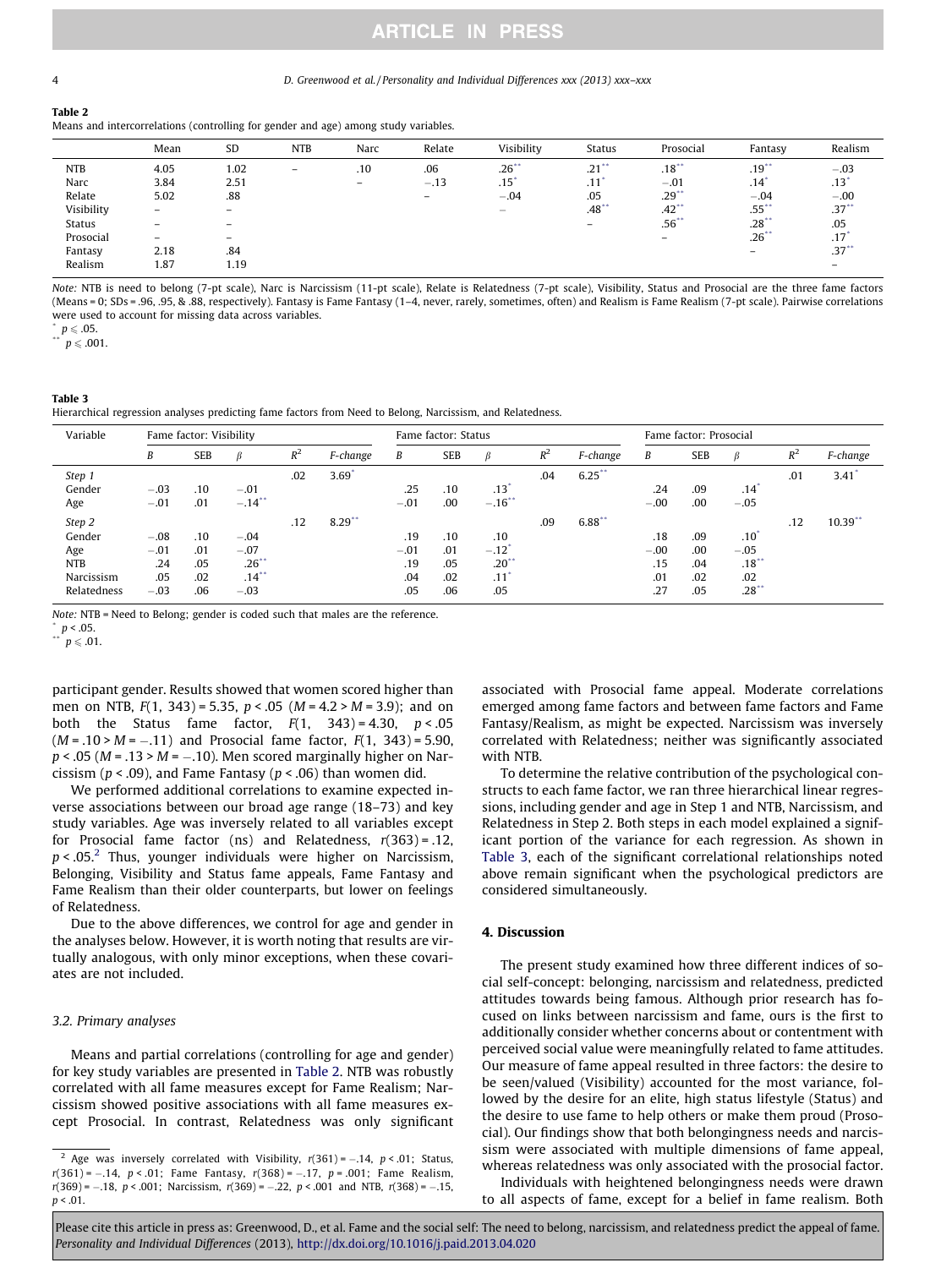## **ARTICLE IN PRESS**

#### <span id="page-3-0"></span>4 D. Greenwood et al. / Personality and Individual Differences xxx (2013) xxx–xxx

#### Table 2

Means and intercorrelations (controlling for gender and age) among study variables.

|            | Mean                     | SD                       | <b>NTB</b> | Narc | Relate                   | Visibility               | <b>Status</b>            | Prosocial           | Fantasy             | Realism                  |
|------------|--------------------------|--------------------------|------------|------|--------------------------|--------------------------|--------------------------|---------------------|---------------------|--------------------------|
| <b>NTB</b> | 4.05                     | 1.02                     | -          | .10  | .06                      | $.26$ **                 | $.21$ <sup>**</sup>      | .18                 | $.19$ <sup>**</sup> | $-.03$                   |
| Narc       | 3.84                     | 2.51                     |            | $-$  | $-.13$                   | $.15*$                   | .11                      | $-.01$              | .14                 | $.13^{\circ}$            |
| Relate     | 5.02                     | .88                      |            |      | $\overline{\phantom{0}}$ | $-.04$                   | .05                      | $.29**$             | $-.04$              | $-.00$                   |
| Visibility | $\overline{\phantom{0}}$ | $\overline{\phantom{0}}$ |            |      |                          | $\overline{\phantom{0}}$ | $.48***$                 | $.42$ <sup>**</sup> | $.55$ **            | $.37***$                 |
| Status     | -                        |                          |            |      |                          |                          | $\overline{\phantom{0}}$ | $.56^{**}$          | $.28$ <sup>**</sup> | .05                      |
| Prosocial  | $\overline{\phantom{0}}$ | $\overline{\phantom{0}}$ |            |      |                          |                          |                          |                     | $.26$ **            | .17                      |
| Fantasy    | 2.18                     | .84                      |            |      |                          |                          |                          |                     |                     | $.37***$                 |
| Realism    | 1.87                     | 1.19                     |            |      |                          |                          |                          |                     |                     | $\overline{\phantom{0}}$ |

Note: NTB is need to belong (7-pt scale), Narc is Narcissism (11-pt scale), Relate is Relatedness (7-pt scale), Visibility, Status and Prosocial are the three fame factors (Means = 0; SDs = .96, .95, & .88, respectively). Fantasy is Fame Fantasy (1–4, never, rarely, sometimes, often) and Realism is Fame Realism (7-pt scale). Pairwise correlations were used to account for missing data across variables.

 $p \le 0.05$ .<br>\*\*  $p \le 0.001$ .

Table 3 Hierarchical regression analyses predicting fame factors from Need to Belong, Narcissism, and Relatedness.

| Variable    | Fame factor: Visibility |            |                      |       |                      | Fame factor: Status |            |                 |       | Fame factor: Prosocial |        |            |         |       |            |
|-------------|-------------------------|------------|----------------------|-------|----------------------|---------------------|------------|-----------------|-------|------------------------|--------|------------|---------|-------|------------|
|             | В                       | <b>SEB</b> |                      | $R^2$ | F-change             | B                   | <b>SEB</b> | ß               | $R^2$ | F-change               | B      | <b>SEB</b> |         | $R^2$ | F-change   |
| Step 1      |                         |            |                      | .02   | 3.69'                |                     |            |                 | .04   | $6.25$ **              |        |            |         | .01   | 3.41       |
| Gender      | $-.03$                  | .10        | $-.01$               |       |                      | .25                 | .10        | .13             |       |                        | .24    | .09        | .14     |       |            |
| Age         | $-.01$                  | .01        | $-.14$ <sup>**</sup> |       |                      | $-.01$              | .00        | $-.16"$         |       |                        | $-.00$ | .00        | $-.05$  |       |            |
| Step 2      |                         |            |                      | .12   | $8.29$ <sup>**</sup> |                     |            |                 | .09   | 6.88                   |        |            |         | .12   | $10.39$ ** |
| Gender      | $-.08$                  | .10        | $-.04$               |       |                      | .19                 | .10        | .10             |       |                        | .18    | .09        | .10     |       |            |
| Age         | $-.01$                  | .01        | $-.07$               |       |                      | $-.01$              | .01        | $-.12$          |       |                        | $-.00$ | .00        | $-.05$  |       |            |
| <b>NTB</b>  | .24                     | .05        | $.26***$             |       |                      | .19                 | .05        | $.20^{\degree}$ |       |                        | .15    | .04        | .18     |       |            |
| Narcissism  | .05                     | .02        | $.14***$             |       |                      | .04                 | .02        | .11             |       |                        | .01    | .02        | .02     |       |            |
| Relatedness | $-.03$                  | .06        | $-.03$               |       |                      | .05                 | .06        | .05             |       |                        | .27    | .05        | $.28**$ |       |            |

Note: NTB = Need to Belong; gender is coded such that males are the reference.

 $\sum_{n=1}^{n} p < .05$ .

 $p \leqslant .01$ .

participant gender. Results showed that women scored higher than men on NTB,  $F(1, 343) = 5.35$ ,  $p < .05$  ( $M = 4.2 > M = 3.9$ ); and on both the Status fame factor,  $F(1, 343) = 4.30$ ,  $p < .05$  $(M = .10 > M = -.11)$  and Prosocial fame factor,  $F(1, 343) = 5.90$ ,  $p < .05$  ( $M = .13$  >  $M = -.10$ ). Men scored marginally higher on Narcissism ( $p < .09$ ), and Fame Fantasy ( $p < .06$ ) than women did.

We performed additional correlations to examine expected inverse associations between our broad age range (18–73) and key study variables. Age was inversely related to all variables except for Prosocial fame factor (ns) and Relatedness,  $r(363) = .12$ ,  $p < .05<sup>2</sup>$  Thus, younger individuals were higher on Narcissism, Belonging, Visibility and Status fame appeals, Fame Fantasy and Fame Realism than their older counterparts, but lower on feelings of Relatedness.

Due to the above differences, we control for age and gender in the analyses below. However, it is worth noting that results are virtually analogous, with only minor exceptions, when these covariates are not included.

#### 3.2. Primary analyses

Means and partial correlations (controlling for age and gender) for key study variables are presented in Table 2. NTB was robustly correlated with all fame measures except for Fame Realism; Narcissism showed positive associations with all fame measures except Prosocial. In contrast, Relatedness was only significant associated with Prosocial fame appeal. Moderate correlations emerged among fame factors and between fame factors and Fame Fantasy/Realism, as might be expected. Narcissism was inversely correlated with Relatedness; neither was significantly associated with NTB.

To determine the relative contribution of the psychological constructs to each fame factor, we ran three hierarchical linear regressions, including gender and age in Step 1 and NTB, Narcissism, and Relatedness in Step 2. Both steps in each model explained a significant portion of the variance for each regression. As shown in Table 3, each of the significant correlational relationships noted above remain significant when the psychological predictors are considered simultaneously.

#### 4. Discussion

The present study examined how three different indices of social self-concept: belonging, narcissism and relatedness, predicted attitudes towards being famous. Although prior research has focused on links between narcissism and fame, ours is the first to additionally consider whether concerns about or contentment with perceived social value were meaningfully related to fame attitudes. Our measure of fame appeal resulted in three factors: the desire to be seen/valued (Visibility) accounted for the most variance, followed by the desire for an elite, high status lifestyle (Status) and the desire to use fame to help others or make them proud (Prosocial). Our findings show that both belongingness needs and narcissism were associated with multiple dimensions of fame appeal, whereas relatedness was only associated with the prosocial factor.

Individuals with heightened belongingness needs were drawn to all aspects of fame, except for a belief in fame realism. Both

<sup>&</sup>lt;sup>2</sup> Age was inversely correlated with Visibility,  $r(361) = -.14$ ,  $p < .01$ ; Status,  $r(361) = -.14$ ,  $p < .01$ ; Fame Fantasy,  $r(368) = -.17$ ,  $p = .001$ ; Fame Realism,  $r(369) = -.18$ ,  $p < .001$ ; Narcissism,  $r(369) = -.22$ ,  $p < .001$  and NTB,  $r(368) = -.15$ ,  $p < .01$ .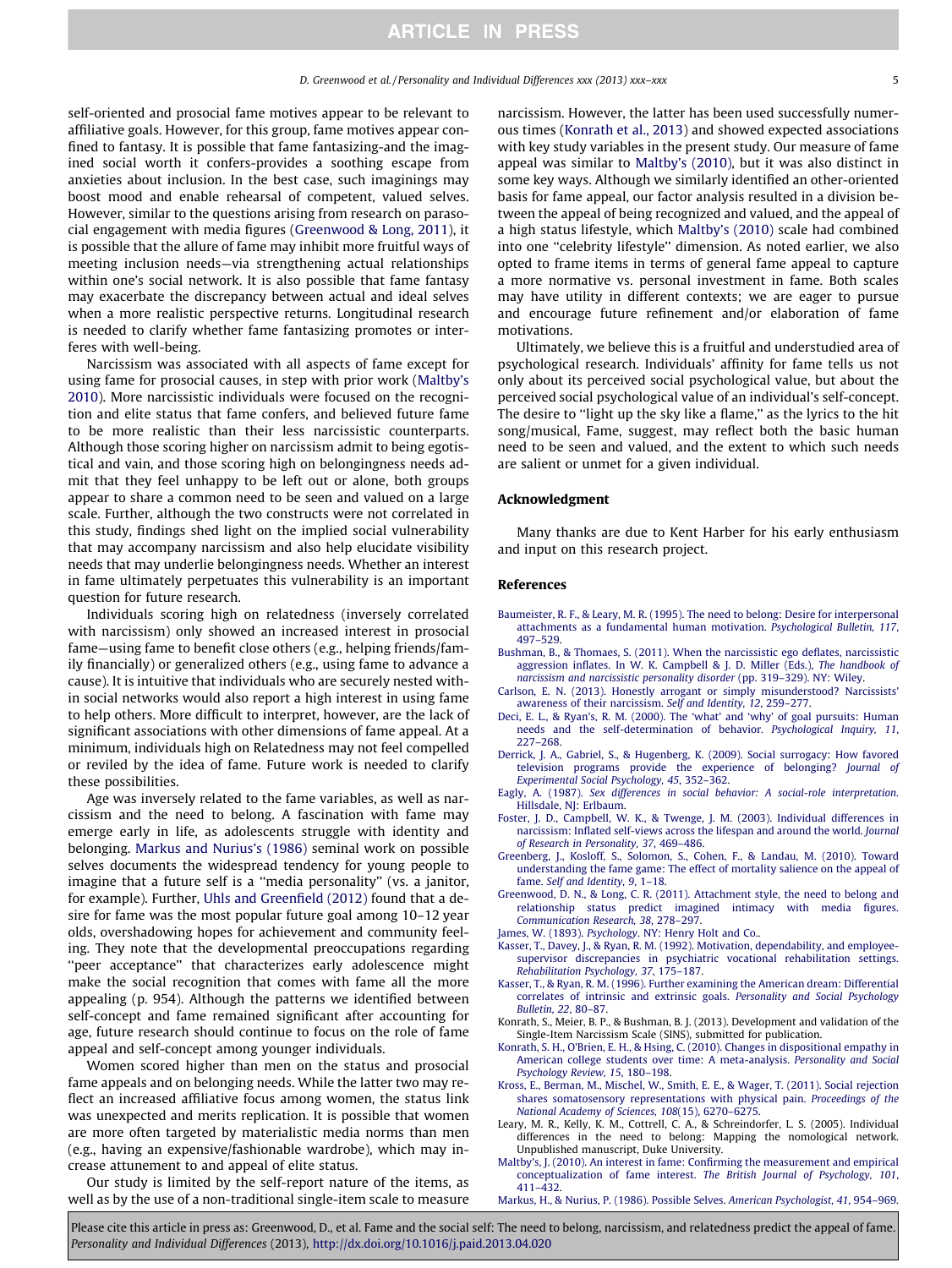<span id="page-4-0"></span>self-oriented and prosocial fame motives appear to be relevant to affiliative goals. However, for this group, fame motives appear confined to fantasy. It is possible that fame fantasizing-and the imagined social worth it confers-provides a soothing escape from anxieties about inclusion. In the best case, such imaginings may boost mood and enable rehearsal of competent, valued selves. However, similar to the questions arising from research on parasocial engagement with media figures (Greenwood & Long, 2011), it is possible that the allure of fame may inhibit more fruitful ways of meeting inclusion needs—via strengthening actual relationships within one's social network. It is also possible that fame fantasy may exacerbate the discrepancy between actual and ideal selves when a more realistic perspective returns. Longitudinal research is needed to clarify whether fame fantasizing promotes or interferes with well-being.

Narcissism was associated with all aspects of fame except for using fame for prosocial causes, in step with prior work (Maltby's 2010). More narcissistic individuals were focused on the recognition and elite status that fame confers, and believed future fame to be more realistic than their less narcissistic counterparts. Although those scoring higher on narcissism admit to being egotistical and vain, and those scoring high on belongingness needs admit that they feel unhappy to be left out or alone, both groups appear to share a common need to be seen and valued on a large scale. Further, although the two constructs were not correlated in this study, findings shed light on the implied social vulnerability that may accompany narcissism and also help elucidate visibility needs that may underlie belongingness needs. Whether an interest in fame ultimately perpetuates this vulnerability is an important question for future research.

Individuals scoring high on relatedness (inversely correlated with narcissism) only showed an increased interest in prosocial fame—using fame to benefit close others (e.g., helping friends/family financially) or generalized others (e.g., using fame to advance a cause). It is intuitive that individuals who are securely nested within social networks would also report a high interest in using fame to help others. More difficult to interpret, however, are the lack of significant associations with other dimensions of fame appeal. At a minimum, individuals high on Relatedness may not feel compelled or reviled by the idea of fame. Future work is needed to clarify these possibilities.

Age was inversely related to the fame variables, as well as narcissism and the need to belong. A fascination with fame may emerge early in life, as adolescents struggle with identity and belonging. Markus and Nurius's (1986) seminal work on possible selves documents the widespread tendency for young people to imagine that a future self is a ''media personality'' (vs. a janitor, for example). Further, [Uhls and Greenfield \(2012\)](#page-5-0) found that a desire for fame was the most popular future goal among 10–12 year olds, overshadowing hopes for achievement and community feeling. They note that the developmental preoccupations regarding "peer acceptance" that characterizes early adolescence might make the social recognition that comes with fame all the more appealing (p. 954). Although the patterns we identified between self-concept and fame remained significant after accounting for age, future research should continue to focus on the role of fame appeal and self-concept among younger individuals.

Women scored higher than men on the status and prosocial fame appeals and on belonging needs. While the latter two may reflect an increased affiliative focus among women, the status link was unexpected and merits replication. It is possible that women are more often targeted by materialistic media norms than men (e.g., having an expensive/fashionable wardrobe), which may increase attunement to and appeal of elite status.

Our study is limited by the self-report nature of the items, as well as by the use of a non-traditional single-item scale to measure narcissism. However, the latter has been used successfully numerous times (Konrath et al., 2013) and showed expected associations with key study variables in the present study. Our measure of fame appeal was similar to Maltby's (2010), but it was also distinct in some key ways. Although we similarly identified an other-oriented basis for fame appeal, our factor analysis resulted in a division between the appeal of being recognized and valued, and the appeal of a high status lifestyle, which Maltby's (2010) scale had combined into one ''celebrity lifestyle'' dimension. As noted earlier, we also opted to frame items in terms of general fame appeal to capture a more normative vs. personal investment in fame. Both scales may have utility in different contexts; we are eager to pursue and encourage future refinement and/or elaboration of fame motivations.

Ultimately, we believe this is a fruitful and understudied area of psychological research. Individuals' affinity for fame tells us not only about its perceived social psychological value, but about the perceived social psychological value of an individual's self-concept. The desire to "light up the sky like a flame," as the lyrics to the hit song/musical, Fame, suggest, may reflect both the basic human need to be seen and valued, and the extent to which such needs are salient or unmet for a given individual.

#### Acknowledgment

Many thanks are due to Kent Harber for his early enthusiasm and input on this research project.

#### References

- [Baumeister, R. F., & Leary, M. R. \(1995\). The need to belong: Desire for interpersonal](http://refhub.elsevier.com/S0191-8869(13)00193-1/h0005) [attachments as a fundamental human motivation.](http://refhub.elsevier.com/S0191-8869(13)00193-1/h0005) Psychological Bulletin, 117, [497–529](http://refhub.elsevier.com/S0191-8869(13)00193-1/h0005).
- [Bushman, B., & Thomaes, S. \(2011\). When the narcissistic ego deflates, narcissistic](http://refhub.elsevier.com/S0191-8869(13)00193-1/h0010) [aggression inflates. In W. K. Campbell & J. D. Miller \(Eds.\),](http://refhub.elsevier.com/S0191-8869(13)00193-1/h0010) The handbook of [narcissism and narcissistic personality disorder](http://refhub.elsevier.com/S0191-8869(13)00193-1/h0010) (pp. 319–329). NY: Wiley.
- [Carlson, E. N. \(2013\). Honestly arrogant or simply misunderstood? Narcissists'](http://refhub.elsevier.com/S0191-8869(13)00193-1/h0105) [awareness of their narcissism.](http://refhub.elsevier.com/S0191-8869(13)00193-1/h0105) Self and Identity, 12, 259–277.
- [Deci, E. L., & Ryan's, R. M. \(2000\). The 'what' and 'why' of goal pursuits: Human](http://refhub.elsevier.com/S0191-8869(13)00193-1/h0020) [needs and the self-determination of behavior.](http://refhub.elsevier.com/S0191-8869(13)00193-1/h0020) Psychological Inquiry, 11, [227–268](http://refhub.elsevier.com/S0191-8869(13)00193-1/h0020).
- [Derrick, J. A., Gabriel, S., & Hugenberg, K. \(2009\). Social surrogacy: How favored](http://refhub.elsevier.com/S0191-8869(13)00193-1/h0025) [television programs provide the experience of belonging?](http://refhub.elsevier.com/S0191-8869(13)00193-1/h0025) Journal of [Experimental Social Psychology, 45](http://refhub.elsevier.com/S0191-8869(13)00193-1/h0025), 352–362.
- Eagly, A. (1987). [Sex differences in social behavior: A social-role interpretation](http://refhub.elsevier.com/S0191-8869(13)00193-1/h0030). [Hillsdale, NJ: Erlbaum](http://refhub.elsevier.com/S0191-8869(13)00193-1/h0030).
- [Foster, J. D., Campbell, W. K., & Twenge, J. M. \(2003\). Individual differences in](http://refhub.elsevier.com/S0191-8869(13)00193-1/h0035) [narcissism: Inflated self-views across the lifespan and around the world.](http://refhub.elsevier.com/S0191-8869(13)00193-1/h0035) Journal [of Research in Personality, 37](http://refhub.elsevier.com/S0191-8869(13)00193-1/h0035), 469–486.
- [Greenberg, J., Kosloff, S., Solomon, S., Cohen, F., & Landau, M. \(2010\). Toward](http://refhub.elsevier.com/S0191-8869(13)00193-1/h0040) [understanding the fame game: The effect of mortality salience on the appeal of](http://refhub.elsevier.com/S0191-8869(13)00193-1/h0040) fame. [Self and Identity, 9](http://refhub.elsevier.com/S0191-8869(13)00193-1/h0040), 1–18.
- [Greenwood, D. N., & Long, C. R. \(2011\). Attachment style, the need to belong and](http://refhub.elsevier.com/S0191-8869(13)00193-1/h0045) [relationship status predict imagined intimacy with media figures.](http://refhub.elsevier.com/S0191-8869(13)00193-1/h0045) [Communication Research, 38](http://refhub.elsevier.com/S0191-8869(13)00193-1/h0045), 278–297.
- James, W. (1893). Psychology[. NY: Henry Holt and Co.](http://refhub.elsevier.com/S0191-8869(13)00193-1/h0050).
- [Kasser, T., Davey, J., & Ryan, R. M. \(1992\). Motivation, dependability, and employee](http://refhub.elsevier.com/S0191-8869(13)00193-1/h0055)[supervisor discrepancies in psychiatric vocational rehabilitation settings.](http://refhub.elsevier.com/S0191-8869(13)00193-1/h0055) [Rehabilitation Psychology, 37](http://refhub.elsevier.com/S0191-8869(13)00193-1/h0055), 175–187.
- [Kasser, T., & Ryan, R. M. \(1996\). Further examining the American dream: Differential](http://refhub.elsevier.com/S0191-8869(13)00193-1/h0060) [correlates of intrinsic and extrinsic goals.](http://refhub.elsevier.com/S0191-8869(13)00193-1/h0060) Personality and Social Psychology [Bulletin, 22](http://refhub.elsevier.com/S0191-8869(13)00193-1/h0060), 80–87.
- Konrath, S., Meier, B. P., & Bushman, B. J. (2013). Development and validation of the Single-Item Narcissism Scale (SINS), submitted for publication.
- [Konrath, S. H., O'Brien, E. H., & Hsing, C. \(2010\). Changes in dispositional empathy in](http://refhub.elsevier.com/S0191-8869(13)00193-1/h0065) [American college students over time: A meta-analysis.](http://refhub.elsevier.com/S0191-8869(13)00193-1/h0065) Personality and Social [Psychology Review, 15](http://refhub.elsevier.com/S0191-8869(13)00193-1/h0065), 180–198.
- [Kross, E., Berman, M., Mischel, W., Smith, E. E., & Wager, T. \(2011\). Social rejection](http://refhub.elsevier.com/S0191-8869(13)00193-1/h0070) [shares somatosensory representations with physical pain.](http://refhub.elsevier.com/S0191-8869(13)00193-1/h0070) Proceedings of the [National Academy of Sciences, 108](http://refhub.elsevier.com/S0191-8869(13)00193-1/h0070)(15), 6270–6275.
- Leary, M. R., Kelly, K. M., Cottrell, C. A., & Schreindorfer, L. S. (2005). Individual differences in the need to belong: Mapping the nomological network. Unpublished manuscript, Duke University.
- [Maltby's, J. \(2010\). An interest in fame: Confirming the measurement and empirical](http://refhub.elsevier.com/S0191-8869(13)00193-1/h0075) conceptualization of fame interest. [The British Journal of Psychology, 101](http://refhub.elsevier.com/S0191-8869(13)00193-1/h0075), [411–432](http://refhub.elsevier.com/S0191-8869(13)00193-1/h0075).
- [Markus, H., & Nurius, P. \(1986\). Possible Selves.](http://refhub.elsevier.com/S0191-8869(13)00193-1/h0080) American Psychologist, 41, 954–969.